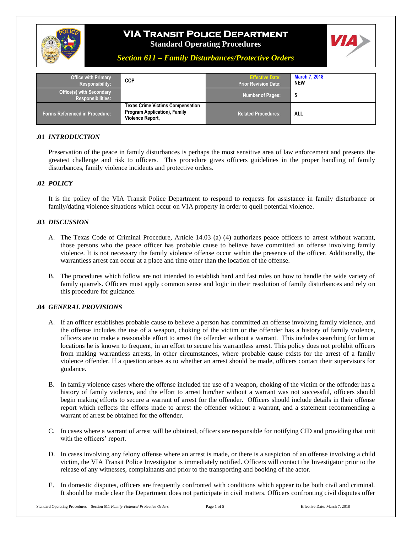



## *Section 611 – Family Disturbances/Protective Orders*

| <b>Office with Primary</b><br>Responsibility:               | <b>COP</b>                                                                                         | <b>Effective Date:</b><br><b>Prior Revision Date:</b> | <b>March 7, 2018</b><br><b>NEW</b> |
|-------------------------------------------------------------|----------------------------------------------------------------------------------------------------|-------------------------------------------------------|------------------------------------|
| <b>Office(s) with Secondary</b><br><b>Responsibilities:</b> |                                                                                                    | <b>Number of Pages:</b>                               |                                    |
| <b>Forms Referenced in Procedure:</b>                       | <b>Texas Crime Victims Compensation</b><br><b>Program Application), Family</b><br>Violence Report, | <b>Related Procedures:</b>                            | ALL                                |

## **.01** *INTRODUCTION*

Preservation of the peace in family disturbances is perhaps the most sensitive area of law enforcement and presents the greatest challenge and risk to officers. This procedure gives officers guidelines in the proper handling of family disturbances, family violence incidents and protective orders.

## **.02** *POLICY*

It is the policy of the VIA Transit Police Department to respond to requests for assistance in family disturbance or family/dating violence situations which occur on VIA property in order to quell potential violence.

#### **.03** *DISCUSSION*

- A. The Texas Code of Criminal Procedure, Article 14.03 (a) (4) authorizes peace officers to arrest without warrant, those persons who the peace officer has probable cause to believe have committed an offense involving family violence. It is not necessary the family violence offense occur within the presence of the officer. Additionally, the warrantless arrest can occur at a place and time other than the location of the offense.
- B. The procedures which follow are not intended to establish hard and fast rules on how to handle the wide variety of family quarrels. Officers must apply common sense and logic in their resolution of family disturbances and rely on this procedure for guidance.

#### **.04** *GENERAL PROVISIONS*

- A. If an officer establishes probable cause to believe a person has committed an offense involving family violence, and the offense includes the use of a weapon, choking of the victim or the offender has a history of family violence, officers are to make a reasonable effort to arrest the offender without a warrant. This includes searching for him at locations he is known to frequent, in an effort to secure his warrantless arrest. This policy does not prohibit officers from making warrantless arrests, in other circumstances, where probable cause exists for the arrest of a family violence offender. If a question arises as to whether an arrest should be made, officers contact their supervisors for guidance.
- B. In family violence cases where the offense included the use of a weapon, choking of the victim or the offender has a history of family violence, and the effort to arrest him/her without a warrant was not successful, officers should begin making efforts to secure a warrant of arrest for the offender. Officers should include details in their offense report which reflects the efforts made to arrest the offender without a warrant, and a statement recommending a warrant of arrest be obtained for the offender.
- C. In cases where a warrant of arrest will be obtained, officers are responsible for notifying CID and providing that unit with the officers' report.
- D. In cases involving any felony offense where an arrest is made, or there is a suspicion of an offense involving a child victim, the VIA Transit Police Investigator is immediately notified. Officers will contact the Investigator prior to the release of any witnesses, complainants and prior to the transporting and booking of the actor.
- E. In domestic disputes, officers are frequently confronted with conditions which appear to be both civil and criminal. It should be made clear the Department does not participate in civil matters. Officers confronting civil disputes offer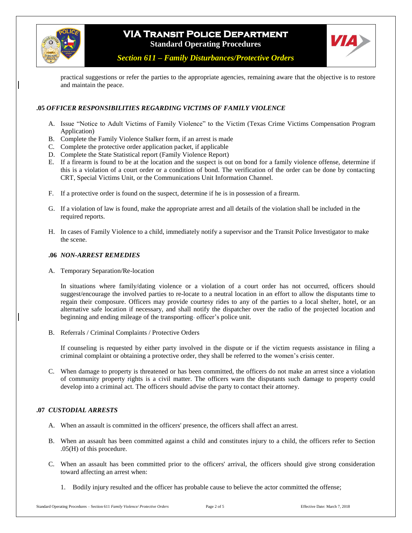



*Section 611 – Family Disturbances/Protective Orders*

practical suggestions or refer the parties to the appropriate agencies, remaining aware that the objective is to restore and maintain the peace.

## **.05** *OFFICER RESPONSIBILITIES REGARDING VICTIMS OF FAMILY VIOLENCE*

- A. Issue "Notice to Adult Victims of Family Violence" to the Victim (Texas Crime Victims Compensation Program Application)
- B. Complete the Family Violence Stalker form, if an arrest is made
- C. Complete the protective order application packet, if applicable
- D. Complete the State Statistical report (Family Violence Report)
- E. If a firearm is found to be at the location and the suspect is out on bond for a family violence offense, determine if this is a violation of a court order or a condition of bond. The verification of the order can be done by contacting CRT, Special Victims Unit, or the Communications Unit Information Channel.
- F. If a protective order is found on the suspect, determine if he is in possession of a firearm.
- G. If a violation of law is found, make the appropriate arrest and all details of the violation shall be included in the required reports.
- H. In cases of Family Violence to a child, immediately notify a supervisor and the Transit Police Investigator to make the scene.

#### **.06** *NON-ARREST REMEDIES*

A. Temporary Separation/Re-location

In situations where family/dating violence or a violation of a court order has not occurred, officers should suggest/encourage the involved parties to re-locate to a neutral location in an effort to allow the disputants time to regain their composure. Officers may provide courtesy rides to any of the parties to a local shelter, hotel, or an alternative safe location if necessary, and shall notify the dispatcher over the radio of the projected location and beginning and ending mileage of the transporting- officer's police unit.

B. Referrals / Criminal Complaints / Protective Orders

If counseling is requested by either party involved in the dispute or if the victim requests assistance in filing a criminal complaint or obtaining a protective order, they shall be referred to the women's crisis center.

C. When damage to property is threatened or has been committed, the officers do not make an arrest since a violation of community property rights is a civil matter. The officers warn the disputants such damage to property could develop into a criminal act. The officers should advise the party to contact their attorney.

#### **.07** *CUSTODIAL ARRESTS*

- A. When an assault is committed in the officers' presence, the officers shall affect an arrest.
- B. When an assault has been committed against a child and constitutes injury to a child, the officers refer to Section .05(H) of this procedure.
- C. When an assault has been committed prior to the officers' arrival, the officers should give strong consideration toward affecting an arrest when:
	- 1. Bodily injury resulted and the officer has probable cause to believe the actor committed the offense;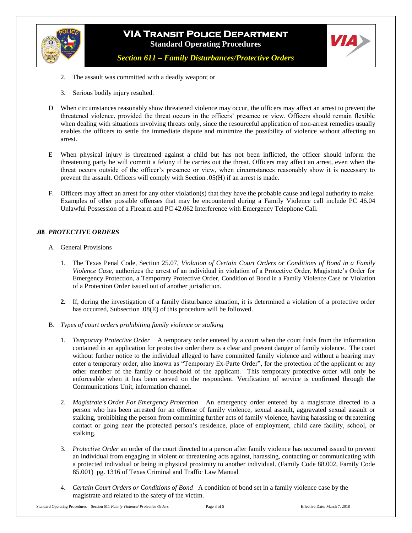

*Section 611 – Family Disturbances/Protective Orders*

- 2. The assault was committed with a deadly weapon; or
- 3. Serious bodily injury resulted.
- D When circumstances reasonably show threatened violence may occur, the officers may affect an arrest to prevent the threatened violence, provided the threat occurs in the officers' presence or view. Officers should remain flexible when dealing with situations involving threats only, since the resourceful application of non-arrest remedies usually enables the officers to settle the immediate dispute and minimize the possibility of violence without affecting an arrest.
- E When physical injury is threatened against a child but has not been inflicted, the officer should inform the threatening party he will commit a felony if he carries out the threat. Officers may affect an arrest, even when the threat occurs outside of the officer's presence or view, when circumstances reasonably show it is necessary to prevent the assault. Officers will comply with Section .05(H) if an arrest is made.
- F. Officers may affect an arrest for any other violation(s) that they have the probable cause and legal authority to make. Examples of other possible offenses that may be encountered during a Family Violence call include PC 46.04 Unlawful Possession of a Firearm and PC 42.062 Interference with Emergency Telephone Call.

## **.08** *PROTECTIVE ORDERS*

- A. General Provisions
	- 1. The Texas Penal Code, Section 25.07, *Violation of Certain Court Orders or Conditions of Bond in a Family Violence Case*, authorizes the arrest of an individual in violation of a Protective Order, Magistrate's Order for Emergency Protection, a Temporary Protective Order, Condition of Bond in a Family Violence Case or Violation of a Protection Order issued out of another jurisdiction.
	- **2.** If, during the investigation of a family disturbance situation, it is determined a violation of a protective order has occurred, Subsection .08(E) of this procedure will be followed.
- B. *Types of court orders prohibiting family violence or stalking*
	- 1. *Temporary Protective Order* A temporary order entered by a court when the court finds from the information contained in an application for protective order there is a clear and present danger of family violence. The court without further notice to the individual alleged to have committed family violence and without a hearing may enter a temporary order, also known as "Temporary Ex-Parte Order", for the protection of the applicant or any other member of the family or household of the applicant. This temporary protective order will only be enforceable when it has been served on the respondent. Verification of service is confirmed through the Communications Unit, information channel.
	- 2. *Magistrate's Order For Emergency Protection* An emergency order entered by a magistrate directed to a person who has been arrested for an offense of family violence, sexual assault, aggravated sexual assault or stalking, prohibiting the person from committing further acts of family violence, having harassing or threatening contact or going near the protected person's residence, place of employment, child care facility, school, or stalking.
	- 3. *Protective Order* an order of the court directed to a person after family violence has occurred issued to prevent an individual from engaging in violent or threatening acts against, harassing, contacting or communicating with a protected individual or being in physical proximity to another individual. (Family Code 88.002, Family Code 85.001) pg. 1316 of Texas Criminal and Traffic Law Manual
	- 4. *Certain Court Orders or Conditions of Bond* A condition of bond set in a family violence case by the magistrate and related to the safety of the victim.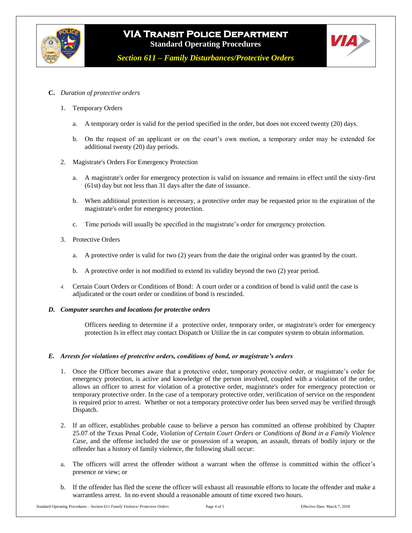



*Section 611 – Family Disturbances/Protective Orders*

- **C.** *Duration of protective orders*
	- 1. Temporary Orders
		- a. A temporary order is valid for the period specified in the order, but does not exceed twenty (20) days.
		- b. On the request of an applicant or on the court's own motion, a temporary order may be extended for additional twenty (20) day periods.
	- 2. Magistrate's Orders For Emergency Protection
		- a. A magistrate's order for emergency protection is valid on issuance and remains in effect until the sixty-first (61st) day but not less than 31 days after the date of issuance.
		- b. When additional protection is necessary, a protective order may be requested prior to the expiration of the magistrate's order for emergency protection.
		- c. Time periods will usually be specified in the magistrate's order for emergency protection.
	- 3. Protective Orders
		- a. A protective order is valid for two (2) years from the date the original order was granted by the court.
		- b. A protective order is not modified to extend its validity beyond the two (2) year period.
	- *4.* Certain Court Orders or Conditions of Bond: A court order or a condition of bond is valid until the case is adjudicated or the court order or condition of bond is rescinded.
- *D. Computer searches and locations for protective orders*

Officers needing to determine if a protective order, temporary order, or magistrate's order for emergency protection Is in effect may contact Dispatch or Utilize the in car computer system to obtain information.

#### *E. Arrests for violations of protective orders, conditions of bond, or magistrate's orders*

- 1. Once the Officer becomes aware that a protective order, temporary protective order, or magistrate's order for emergency protection, is active and knowledge of the person involved, coupled with a violation of the order, allows an officer to arrest for violation of a protective order, magistrate's order for emergency protection or temporary protective order. In the case of a temporary protective order, verification of service on the respondent is required prior to arrest. Whether or not a temporary protective order has been served may be verified through Dispatch.
- 2. If an officer, establishes probable cause to believe a person has committed an offense prohibited by Chapter 25.07 of the Texas Penal Code, *Violation of Certain Court Orders or Conditions of Bond in a Family Violence Case*, and the offense included the use or possession of a weapon, an assault, threats of bodily injury or the offender has a history of family violence, the following shall occur:
- a. The officers will arrest the offender without a warrant when the offense is committed within the officer's presence or view; or
- b. If the offender has fled the scene the officer will exhaust all reasonable efforts to locate the offender and make a warrantless arrest. In no event should a reasonable amount of time exceed two hours.